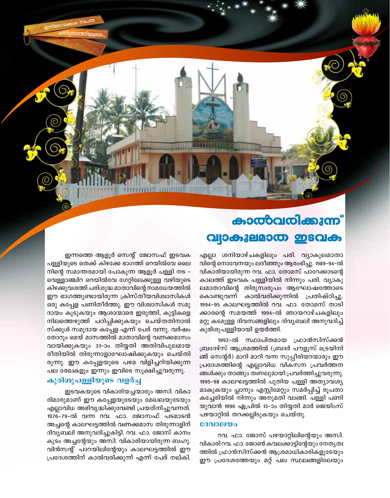## കാൽവരിക്കുന്നി വ്യാകുലമാത ഇടവക

എല്ലാ ശനിയാഴ്ചകളിലും പരി. വ്യാകുലമാതാ വിന്റെ നൊവേനയും ലദീഞ്ഞും ആരംഭിച്ചു. 1989-94-ൽ വികാരിയായിരുന്ന റവ. ഫാ. തോമസ് പാറേക്കാടന്റെ കാലത്ത് ഇടവക പള്ളിയിൽ നിന്നും പരി. വ്യാകു ലമാതാവിന്റെ തിരുസ്വരൂപം ആഘോഷത്തോടെ കാൽവരിക്കുന്നിൽ പ്രതിഷ്ഠിച്ചു. കൊണ്ടുവന്ന് 1994-95 കാലഘട്ടത്തിൽ റവ. ഫാ. തോമസ് താടി ക്കാരന്റെ സമയത്ത് 1994–ൽ ഞായറാഴ്ചകളിലും മറ്റു കടമുള്ള ദിവസങ്ങളിലും ദിവ്യബലി അനുവദിച്ച് കുരിശുപള്ളിയായി ഉയർത്തി.

1992-ൽ സ്ഥാപിതമായ ഫ്രാൻസിസ്ക്കൻ ബ്രദേഴ്സ് ആശ്രമത്തിൽ (ബ്രദർ പൗളുസ് ട്രെയിനി ങ്ങ് സെന്റർ) മാറി മാറി വന്ന സുപ്പീരിയറന്മാരും ഈ പ്രദേശത്തിന്റെ എല്ലാവിധ വികസന പ്രവർത്തന ങ്ങൾക്കും താങ്ങും തണലുമായി പ്രവർത്തിച്ചുവരുന്നു. 1995-98 കാലഘട്ടത്തിൽ പുതിയ പള്ളി അത്യാവശ്യ മാകുകയും പ്ലാനും എസ്റ്റിമേറ്റും സമർപ്പിച്ച് രൂപതാ കച്ചേരിയിൽ നിന്നും അനുമതി വാങ്ങി. പള്ളി പണി യുവാൻ 1996 ഏപ്രിൽ 13-ാം തിയ്യതി മാർ ജെയിംസ് പഴയാറ്റിൽ തറക്കല്ലിടുകയും ചെയ്തു.

## ദേവാലയം

റവ. ഫാ. ജോസ് പഴയാറ്റിലിന്റെയും അസി. വികാരി റവ. ഫാ. ജോൺ കവലക്കാട്ടിന്റേയും നേതൃത്വ ത്തിൽ ഫ്രാൻസിസ്ക്കൻ ആശ്രമാധികാരികളുടേയും ഈ പ്രദേശത്തേയും മറ്റ് പല സ്ഥലങ്ങളിലേയും

ഇന്നത്തെ ആളൂർ സെന്റ് ജോസഫ് ഇടവക പള്ളിയുടെ തെക്ക് കിഴക്കേ ഭാഗത്ത് റെയിൽവേ ലൈ നിന്റെ സമാന്തരമായി പോകുന്ന ആളൂർ പള്ളി നട – വെള്ളാഞ്ചിറ റെയിൽവേ ഗേറ്റിലേക്കുള്ള വഴിയുടെ കിഴക്കുവശത്ത് പരിശുദ്ധ മാതാവിന്റെ നാമധേയത്തിൽ ഈ ഭാഗത്തുണ്ടായിരുന്ന ക്രിസ്തീയവിശ്വാസികൾ ഒരു കപ്പേള പണിതീർത്തു. ഈ വിശ്വാസികൾ സമു ദായം കൂടുകയും ആശാന്മാരെ ഇരുത്തി, കുട്ടികളെ നിലത്തെഴുത്ത് പഠിപ്പിക്കുകയും ചെയ്തതിനാൽ സ്ക്കൂൾ സമുദായ കപ്പേള എന്ന് പേര് വന്നു. വർഷം തോറും മെയ് മാസത്തിൽ മാതാവിന്റെ വണക്കമാസം വായിക്കുകയും 31-ാം തിയ്യതി അതിവിപുലമായ രീതിയിൽ തിരുന്നാളാഘോഷിക്കുകയും ചെയ്തി രുന്നു. ഈ കപ്പേളയുടെ പഴമ വിളിച്ചറിയിക്കുന്ന പല രേഖകളും ഇന്നും ഇവിടെ സൂക്ഷിച്ചുവരുന്നു.

## കുരിശുപള്ളിയുടെ വളർച്ച

ഇടവകയുടെ വികാരിയച്ചന്മാരും അസി. വികാ രിമാരുമാണ് ഈ കപ്പേളയുടേയും മേഖലയുടേയും എല്ലാവിധ അഭിവൃദ്ധിക്കുവേണ്ടി പ്രയത്നിച്ചുവന്നത്. 1976-79-ൽ വന്ന റവ. ഫാ. ജോസഫ് പടമാടൻ അച്ചന്റെ കാലഘട്ടത്തിൽ വണക്കമാസ തിരുന്നാളിന് ദിവ്യബലി അനുവദിച്ചുകിട്ടി. റവ. ഫാ. ജോസ് കാനം കുടം അച്ചന്റേയും അസി. വികാരിയായിരുന്ന ബഹു. വിൻസന്റ് പാറയിലിന്റേയും കാലഘട്ടത്തിൽ ഈ പ്രദേശത്തിന് കാൽവരിക്കുന്ന് എന്ന് പേര് നല്കി.